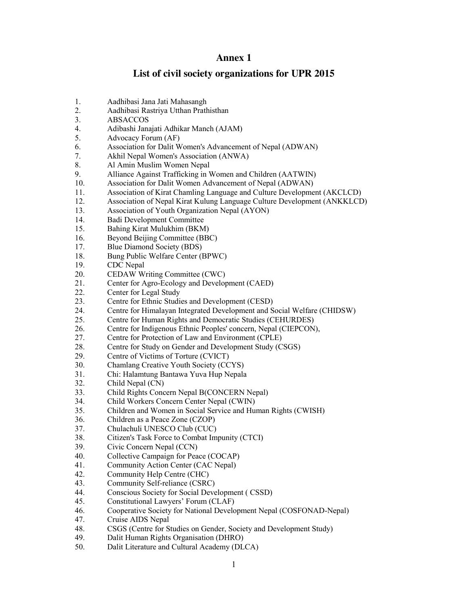## **Annex 1**

## **List of civil society organizations for UPR 2015**

- 1. Aadhibasi Jana Jati Mahasangh
- 2. Aadhibasi Rastriya Utthan Prathisthan
- 3. ABSACCOS
- 4. Adibashi Janajati Adhikar Manch (AJAM)
- 5. Advocacy Forum (AF)
- 6. Association for Dalit Women's Advancement of Nepal (ADWAN)
- 7. Akhil Nepal Women's Association (ANWA)
- 8. Al Amin Muslim Women Nepal
- 9. Alliance Against Trafficking in Women and Children (AATWIN)
- 10. Association for Dalit Women Advancement of Nepal (ADWAN)
- 11. Association of Kirat Chamling Language and Culture Development (AKCLCD)
- 12. Association of Nepal Kirat Kulung Language Culture Development (ANKKLCD)
- 13. Association of Youth Organization Nepal (AYON)
- 14. Badi Development Committee
- 15. Bahing Kirat Mulukhim (BKM)
- 16. Beyond Beijing Committee (BBC)
- 17. Blue Diamond Society (BDS)
- 18. Bung Public Welfare Center (BPWC)
- 19. CDC Nepal
- 20. CEDAW Writing Committee (CWC)
- 21. Center for Agro-Ecology and Development (CAED)
- 22. Center for Legal Study
- 23. Centre for Ethnic Studies and Development (CESD)
- 24. Centre for Himalayan Integrated Development and Social Welfare (CHIDSW)
- 25. Centre for Human Rights and Democratic Studies (CEHURDES)
- 26. Centre for Indigenous Ethnic Peoples' concern, Nepal (CIEPCON),
- 27. Centre for Protection of Law and Environment (CPLE)
- 28. Centre for Study on Gender and Development Study (CSGS)
- 29. Centre of Victims of Torture (CVICT)
- 30. Chamlang Creative Youth Society (CCYS)
- 31. Chi: Halamtung Bantawa Yuva Hup Nepala
- 32. Child Nepal (CN)
- 33. Child Rights Concern Nepal B(CONCERN Nepal)
- 34. Child Workers Concern Center Nepal (CWIN)
- 35. Children and Women in Social Service and Human Rights (CWISH)
- 36. Children as a Peace Zone (CZOP)
- 37. Chulachuli UNESCO Club (CUC)
- 38. Citizen's Task Force to Combat Impunity (CTCI)
- 39. Civic Concern Nepal (CCN)
- 40. Collective Campaign for Peace (COCAP)
- 41. Community Action Center (CAC Nepal)
- 42. Community Help Centre (CHC)
- 43. Community Self-reliance (CSRC)
- 44. Conscious Society for Social Development ( CSSD)
- 45. Constitutional Lawyers' Forum (CLAF)
- 46. Cooperative Society for National Development Nepal (COSFONAD-Nepal)
- 47. Cruise AIDS Nepal
- 48. CSGS (Centre for Studies on Gender, Society and Development Study)<br>49. Dalit Human Rights Organisation (DHRO)
- Dalit Human Rights Organisation (DHRO)
- 50. Dalit Literature and Cultural Academy (DLCA)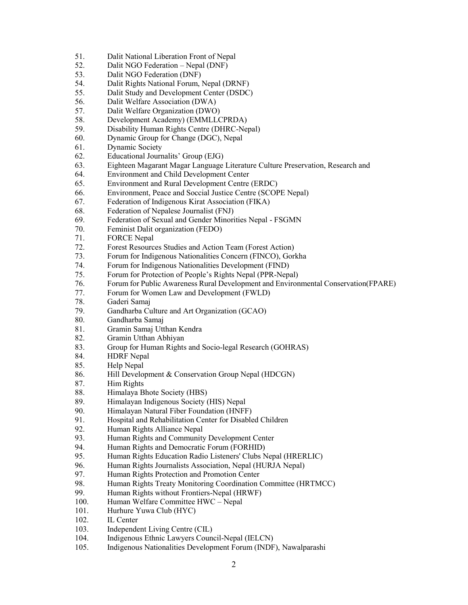- 51. Dalit National Liberation Front of Nepal
- 52. Dalit NGO Federation Nepal (DNF)
- 53. Dalit NGO Federation (DNF)
- 54. Dalit Rights National Forum, Nepal (DRNF)
- 55. Dalit Study and Development Center (DSDC)
- 56. Dalit Welfare Association (DWA)
- 57. Dalit Welfare Organization (DWO)
- 58. Development Academy) (EMMLLCPRDA)
- 59. Disability Human Rights Centre (DHRC-Nepal)
- 60. Dynamic Group for Change (DGC), Nepal
- 61. Dynamic Society
- 62. Educational Journalits' Group (EJG)
- 63. Eighteen Magarant Magar Language Literature Culture Preservation, Research and
- 64. Environment and Child Development Center
- 65. Environment and Rural Development Centre (ERDC)
- 66. Environment, Peace and Soccial Justice Centre (SCOPE Nepal)
- 67. Federation of Indigenous Kirat Association (FIKA)
- 68. Federation of Nepalese Journalist (FNJ)
- 69. Federation of Sexual and Gender Minorities Nepal FSGMN
- 70. Feminist Dalit organization (FEDO)
- 71. FORCE Nepal
- 72. Forest Resources Studies and Action Team (Forest Action)
- 73. Forum for Indigenous Nationalities Concern (FINCO), Gorkha
- 74. Forum for Indigenous Nationalities Development (FIND)
- 75. Forum for Protection of People's Rights Nepal (PPR-Nepal)
- 76. Forum for Public Awareness Rural Development and Environmental Conservation(FPARE)
- 77. Forum for Women Law and Development (FWLD)
- 78. Gaderi Samaj
- 79. Gandharba Culture and Art Organization (GCAO)
- 80. Gandharba Samaj
- 81. Gramin Samaj Utthan Kendra
- 82. Gramin Utthan Abhiyan
- 83. Group for Human Rights and Socio-legal Research (GOHRAS)
- 84. HDRF Nepal
- 85. Help Nepal
- 86. Hill Development & Conservation Group Nepal (HDCGN)
- 87. Him Rights
- 88. Himalaya Bhote Society (HBS)
- 89. Himalayan Indigenous Society (HIS) Nepal
- 90. Himalayan Natural Fiber Foundation (HNFF)
- 91. Hospital and Rehabilitation Center for Disabled Children<br>92. Human Rights Alliance Nepal
- Human Rights Alliance Nepal
- 93. Human Rights and Community Development Center
- 94. Human Rights and Democratic Forum (FORHID)
- 95. Human Rights Education Radio Listeners' Clubs Nepal (HRERLIC)
- 96. Human Rights Journalists Association, Nepal (HURJA Nepal)
- 97. Human Rights Protection and Promotion Center
- 98. Human Rights Treaty Monitoring Coordination Committee (HRTMCC)
- 99. Human Rights without Frontiers-Nepal (HRWF)
- 100. Human Welfare Committee HWC Nepal
- 101. Hurhure Yuwa Club (HYC)
- 102. IL Center
- 103. Independent Living Centre (CIL)
- 104. Indigenous Ethnic Lawyers Council-Nepal (IELCN)
- 105. Indigenous Nationalities Development Forum (INDF), Nawalparashi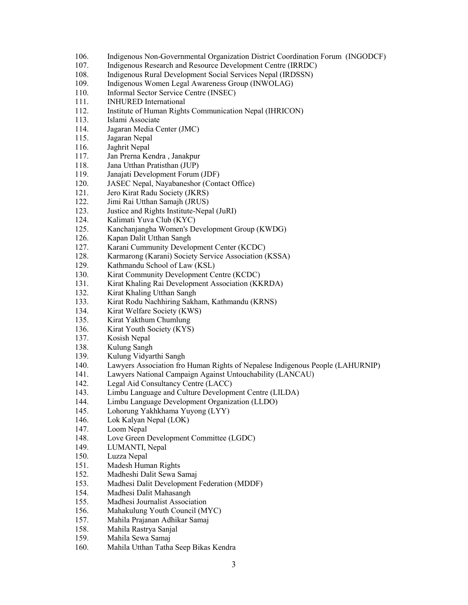- 106. Indigenous Non-Governmental Organization District Coordination Forum (INGODCF)
- 107. Indigenous Research and Resource Development Centre (IRRDC)
- 108. Indigenous Rural Development Social Services Nepal (IRDSSN)
- 109. Indigenous Women Legal Awareness Group (INWOLAG)
- 110. Informal Sector Service Centre (INSEC)
- 111. INHURED International
- 112. Institute of Human Rights Communication Nepal (IHRICON)
- 113. Islami Associate
- 114. Jagaran Media Center (JMC)
- 115. Jagaran Nepal
- 116. Jaghrit Nepal
- 117. Jan Prerna Kendra , Janakpur
- 118. Jana Utthan Pratisthan (JUP)
- 119. Janajati Development Forum (JDF)
- 120. JASEC Nepal, Nayabaneshor (Contact Office)
- 121. Jero Kirat Radu Society (JKRS)
- 122. Jimi Rai Utthan Samajh (JRUS)
- 123. Justice and Rights Institute-Nepal (JuRI)
- 124. Kalimati Yuva Club (KYC)
- 125. Kanchanjangha Women's Development Group (KWDG)
- 126. Kapan Dalit Utthan Sangh
- 127. Karani Cummunity Development Center (KCDC)
- 128. Karmarong (Karani) Society Service Association (KSSA)
- 129. Kathmandu School of Law (KSL)
- 130. Kirat Community Development Centre (KCDC)
- 131. Kirat Khaling Rai Development Association (KKRDA)
- 132. Kirat Khaling Utthan Sangh
- 133. Kirat Rodu Nachhiring Sakham, Kathmandu (KRNS)
- 134. Kirat Welfare Society (KWS)
- 135. Kirat Yakthum Chumlung
- 136. Kirat Youth Society (KYS)
- 137. Kosish Nepal
- 138. Kulung Sangh
- 139. Kulung Vidyarthi Sangh
- 140. Lawyers Association fro Human Rights of Nepalese Indigenous People (LAHURNIP)
- 141. Lawyers National Campaign Against Untouchability (LANCAU)
- 142. Legal Aid Consultancy Centre (LACC)
- 143. Limbu Language and Culture Development Centre (LILDA)
- 144. Limbu Language Development Organization (LLDO)
- 145. Lohorung Yakhkhama Yuyong (LYY)
- 146. Lok Kalyan Nepal (LOK)
- 147. Loom Nepal
- 148. Love Green Development Committee (LGDC)
- 149. LUMANTI, Nepal
- 150. Luzza Nepal
- 151. Madesh Human Rights
- 152. Madheshi Dalit Sewa Samaj
- 153. Madhesi Dalit Development Federation (MDDF)
- 154. Madhesi Dalit Mahasangh
- 155. Madhesi Journalist Association
- 156. Mahakulung Youth Council (MYC)
- 157. Mahila Prajanan Adhikar Samaj
- 158. Mahila Rastrya Sanjal
- 159. Mahila Sewa Samaj
- 160. Mahila Utthan Tatha Seep Bikas Kendra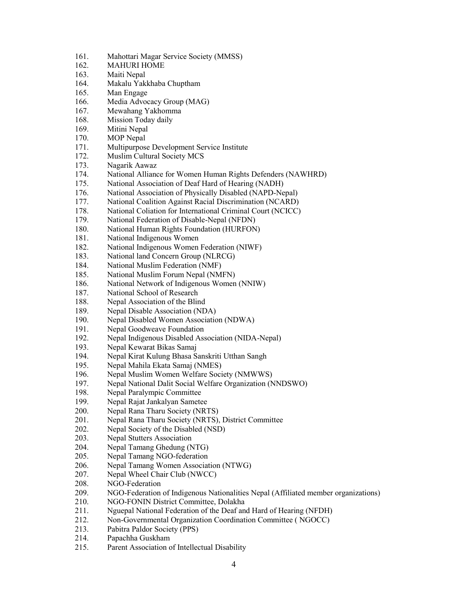- 161. Mahottari Magar Service Society (MMSS)
- 162. MAHURI HOME
- 163. Maiti Nepal
- 164. Makalu Yakkhaba Chuptham
- 165. Man Engage
- 166. Media Advocacy Group (MAG)
- 167. Mewahang Yakhomma
- 168. Mission Today daily
- 169. Mitini Nepal
- 170. MOP Nepal
- 171. Multipurpose Development Service Institute
- 172. Muslim Cultural Society MCS
- 173. Nagarik Aawaz
- 174. National Alliance for Women Human Rights Defenders (NAWHRD)
- 175. National Association of Deaf Hard of Hearing (NADH)
- 176. National Association of Physically Disabled (NAPD-Nepal)
- 177. National Coalition Against Racial Discrimination (NCARD)
- 178. National Coliation for International Criminal Court (NCICC)
- 179. National Federation of Disable-Nepal (NFDN)
- 180. National Human Rights Foundation (HURFON)
- 181. National Indigenous Women
- 182. National Indigenous Women Federation (NIWF)
- 183. National land Concern Group (NLRCG)
- 184. National Muslim Federation (NMF)
- 185. National Muslim Forum Nepal (NMFN)
- 186. National Network of Indigenous Women (NNIW)
- 187. National School of Research
- 188. Nepal Association of the Blind
- 189. Nepal Disable Association (NDA)
- 190. Nepal Disabled Women Association (NDWA)
- 191. Nepal Goodweave Foundation
- 192. Nepal Indigenous Disabled Association (NIDA-Nepal)
- 193. Nepal Kewarat Bikas Samaj
- 194. Nepal Kirat Kulung Bhasa Sanskriti Utthan Sangh
- 195. Nepal Mahila Ekata Samaj (NMES)
- 196. Nepal Muslim Women Welfare Society (NMWWS)
- 197. Nepal National Dalit Social Welfare Organization (NNDSWO)
- 198. Nepal Paralympic Committee
- 199. Nepal Rajat Jankalyan Sametee
- 200. Nepal Rana Tharu Society (NRTS)
- 201. Nepal Rana Tharu Society (NRTS), District Committee
- 202. Nepal Society of the Disabled (NSD)
- 203. Nepal Stutters Association
- 204. Nepal Tamang Ghedung (NTG)
- 205. Nepal Tamang NGO-federation
- 206. Nepal Tamang Women Association (NTWG)
- 207. Nepal Wheel Chair Club (NWCC)
- 208. NGO-Federation
- 209. NGO-Federation of Indigenous Nationalities Nepal (Affiliated member organizations)
- 210. NGO-FONIN District Committee, Dolakha
- 211. Nguepal National Federation of the Deaf and Hard of Hearing (NFDH)
- 212. Non-Governmental Organization Coordination Committee ( NGOCC)
- 213. Pabitra Paldor Society (PPS)
- 214. Papachha Guskham
- 215. Parent Association of Intellectual Disability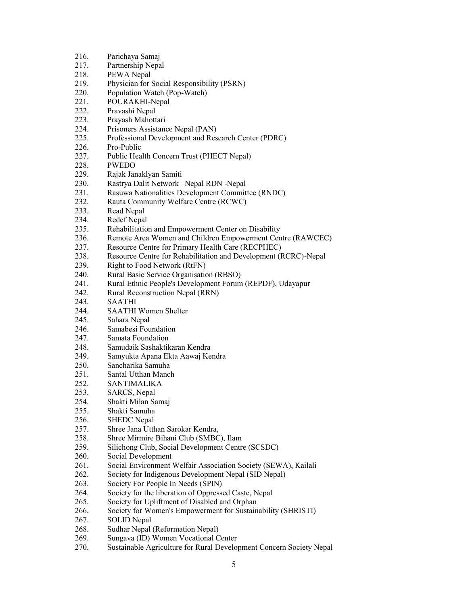- 216. Parichaya Samaj
- 217. Partnership Nepal
- 218. PEWA Nepal
- 219. Physician for Social Responsibility (PSRN)<br>220 Population Watch (Pop-Watch)
- Population Watch (Pop-Watch)
- 221. POURAKHI-Nepal
- 222. Pravashi Nepal
- 223. Prayash Mahottari
- 224. Prisoners Assistance Nepal (PAN)
- 225. Professional Development and Research Center (PDRC)
- 226. Pro-Public
- 227. Public Health Concern Trust (PHECT Nepal)
- 228. PWEDO
- 229. Rajak Janaklyan Samiti
- 230. Rastrya Dalit Network –Nepal RDN -Nepal
- 231. Rasuwa Nationalities Development Committee (RNDC)
- 232. Rauta Community Welfare Centre (RCWC)
- 233. Read Nepal
- 234. Redef Nepal
- 235. Rehabilitation and Empowerment Center on Disability
- 236. Remote Area Women and Children Empowerment Centre (RAWCEC)
- 237. Resource Centre for Primary Health Care (RECPHEC)
- 238. Resource Centre for Rehabilitation and Development (RCRC)-Nepal
- 239. Right to Food Network (RtFN)
- 240. Rural Basic Service Organisation (RBSO)
- 241. Rural Ethnic People's Development Forum (REPDF), Udayapur
- 242. Rural Reconstruction Nepal (RRN)
- 243. SAATHI
- 244. SAATHI Women Shelter
- 245. Sahara Nepal
- 246. Samabesi Foundation
- 247. Samata Foundation
- 248. Samudaik Sashaktikaran Kendra
- 249. Samyukta Apana Ekta Aawaj Kendra
- 250. Sancharika Samuha
- 251. Santal Utthan Manch
- 252. SANTIMALIKA
- 253. SARCS, Nepal
- 254. Shakti Milan Samaj
- 255. Shakti Samuha
- 256. SHEDC Nepal
- 257. Shree Jana Utthan Sarokar Kendra,
- 258. Shree Mirmire Bihani Club (SMBC), Ilam
- 259. Silichong Club, Social Development Centre (SCSDC)
- 260. Social Development
- 261. Social Environment Welfair Association Society (SEWA), Kailali
- 262. Society for Indigenous Development Nepal (SID Nepal)
- 263. Society For People In Needs (SPIN)
- 264. Society for the liberation of Oppressed Caste, Nepal
- 265. Society for Upliftment of Disabled and Orphan
- 266. Society for Women's Empowerment for Sustainability (SHRISTI)
- 267. SOLID Nepal
- 268. Sudhar Nepal (Reformation Nepal)
- 269. Sungava (ID) Women Vocational Center
- 270. Sustainable Agriculture for Rural Development Concern Society Nepal